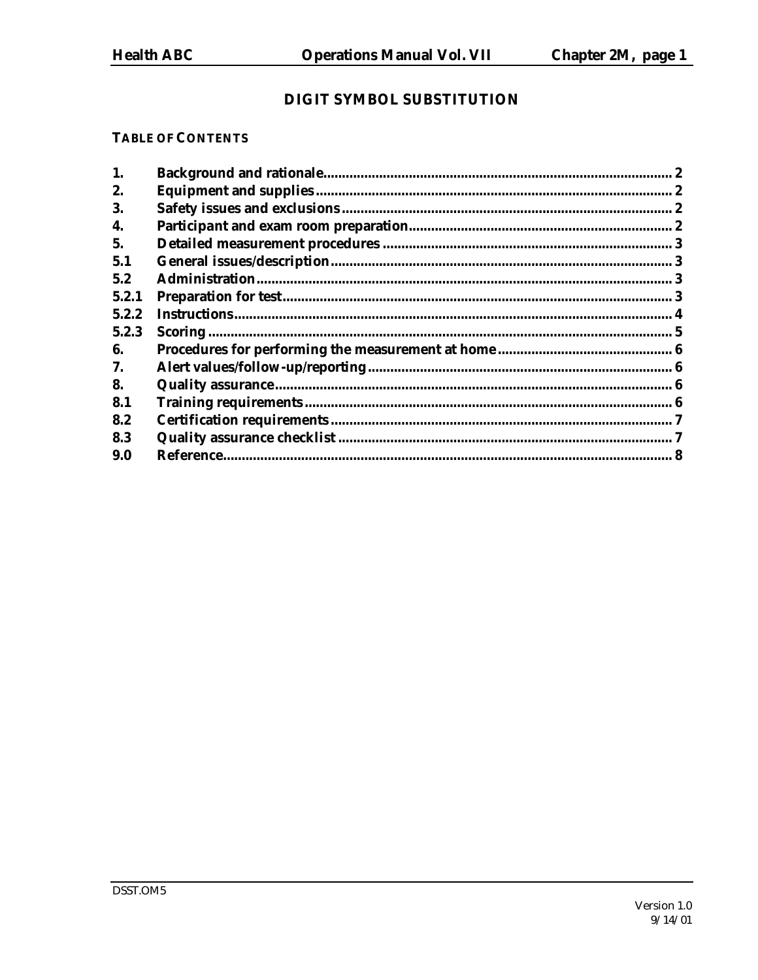## DIGIT SYMBOL SUBSTITUTION

## **TABLE OF CONTENTS**

| 1.    | $\overline{2}$ |
|-------|----------------|
| 2.    |                |
| 3.    |                |
| 4.    |                |
| 5.    |                |
| 5.1   |                |
| 5.2   |                |
| 5.2.1 |                |
| 5.2.2 |                |
| 5.2.3 |                |
| 6.    |                |
| 7.    |                |
| 8.    |                |
| 8.1   |                |
| 8.2   |                |
| 8.3   |                |
| 9.0   |                |
|       |                |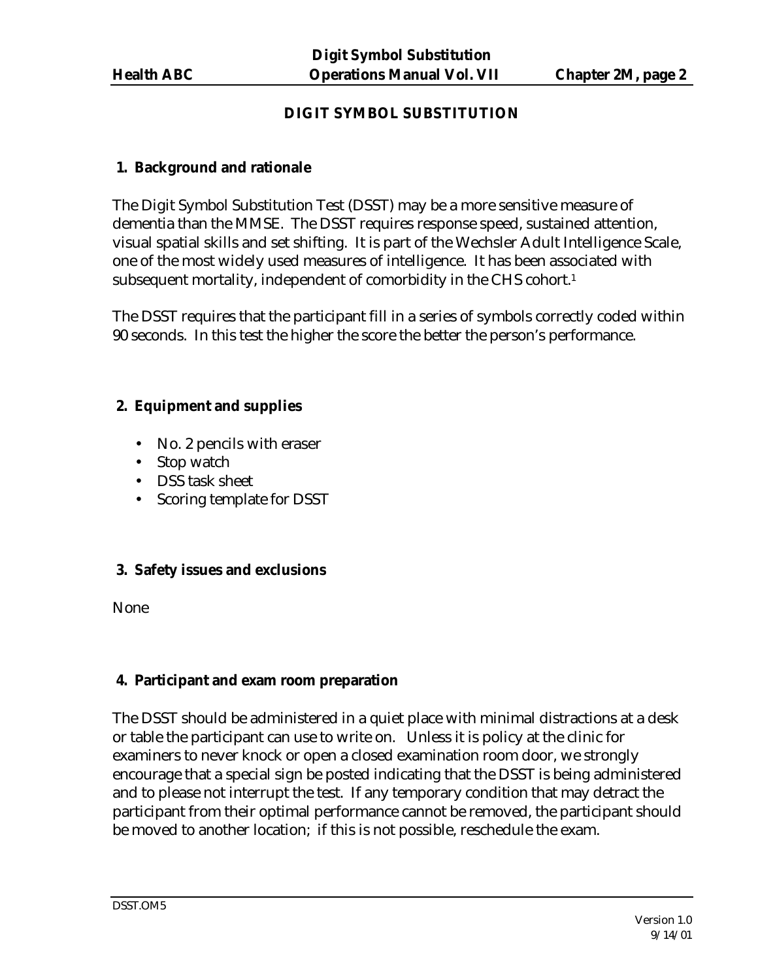# **DIGIT SYMBOL SUBSTITUTION**

# **1. Background and rationale**

The Digit Symbol Substitution Test (DSST) may be a more sensitive measure of dementia than the MMSE. The DSST requires response speed, sustained attention, visual spatial skills and set shifting. It is part of the Wechsler Adult Intelligence Scale, one of the most widely used measures of intelligence. It has been associated with subsequent mortality, independent of comorbidity in the CHS cohort.<sup>1</sup>

The DSST requires that the participant fill in a series of symbols correctly coded within 90 seconds. In this test the higher the score the better the person's performance.

# **2. Equipment and supplies**

- No. 2 pencils with eraser
- Stop watch
- DSS task sheet
- Scoring template for DSST

# **3. Safety issues and exclusions**

None

# **4. Participant and exam room preparation**

The DSST should be administered in a quiet place with minimal distractions at a desk or table the participant can use to write on. Unless it is policy at the clinic for examiners to never knock or open a closed examination room door, we strongly encourage that a special sign be posted indicating that the DSST is being administered and to please not interrupt the test. If any temporary condition that may detract the participant from their optimal performance cannot be removed, the participant should be moved to another location; if this is not possible, reschedule the exam.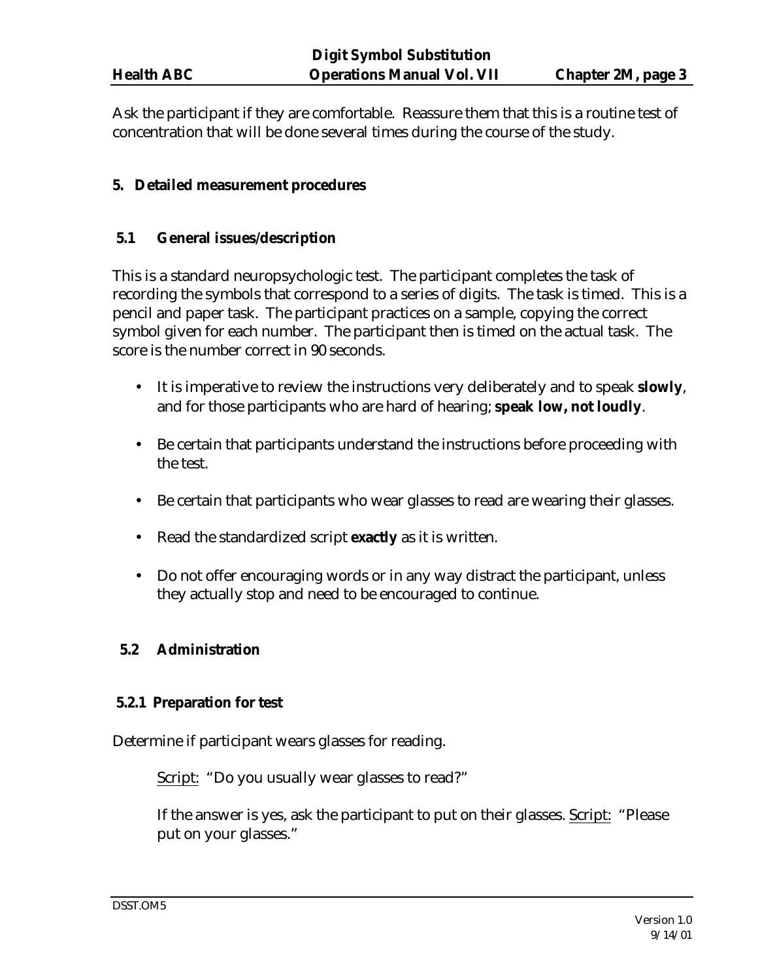Ask the participant if they are comfortable. Reassure them that this is a routine test of concentration that will be done several times during the course of the study.

## **5. Detailed measurement procedures**

## **5.1 General issues/description**

This is a standard neuropsychologic test. The participant completes the task of recording the symbols that correspond to a series of digits. The task is timed. This is a pencil and paper task. The participant practices on a sample, copying the correct symbol given for each number. The participant then is timed on the actual task. The score is the number correct in 90 seconds.

- It is imperative to review the instructions very deliberately and to speak **slowly**, and for those participants who are hard of hearing; **speak low, not loudly**.
- Be certain that participants understand the instructions before proceeding with the test.
- Be certain that participants who wear glasses to read are wearing their glasses.
- Read the standardized script **exactly** as it is written.
- Do not offer encouraging words or in any way distract the participant, unless they actually stop and need to be encouraged to continue.

### **5.2 Administration**

### **5.2.1 Preparation for test**

Determine if participant wears glasses for reading.

Script: "Do you usually wear glasses to read?"

If the answer is yes, ask the participant to put on their glasses. Script: "Please put on your glasses."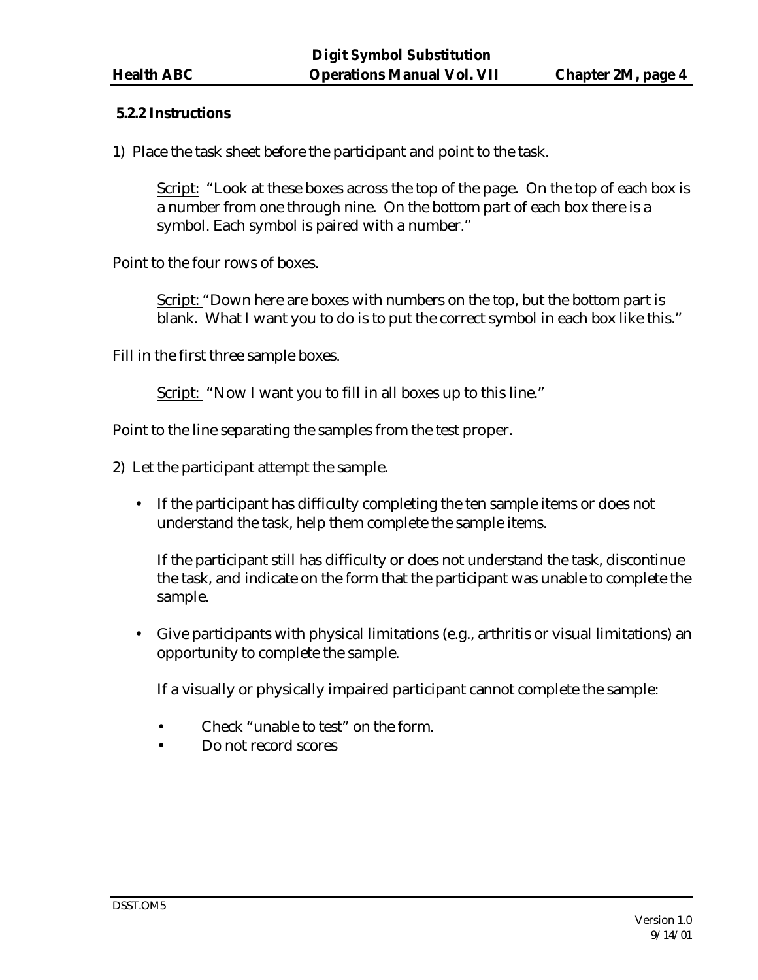### **5.2.2 Instructions**

1) Place the task sheet before the participant and point to the task.

Script: "Look at these boxes across the top of the page. On the top of each box is a number from one through nine. On the bottom part of each box there is a symbol. Each symbol is paired with a number."

Point to the four rows of boxes.

Script: "Down here are boxes with numbers on the top, but the bottom part is blank. What I want you to do is to put the correct symbol in each box like this."

Fill in the first three sample boxes.

Script: "Now I want you to fill in all boxes up to this line."

Point to the line separating the samples from the test proper.

- 2) Let the participant attempt the sample.
	- If the participant has difficulty completing the ten sample items or does not understand the task, help them complete the sample items.

If the participant still has difficulty or does not understand the task, discontinue the task, and indicate on the form that the participant was unable to complete the sample.

• Give participants with physical limitations (e.g., arthritis or visual limitations) an opportunity to complete the sample.

If a visually or physically impaired participant cannot complete the sample:

- Check "unable to test" on the form.
- Do not record scores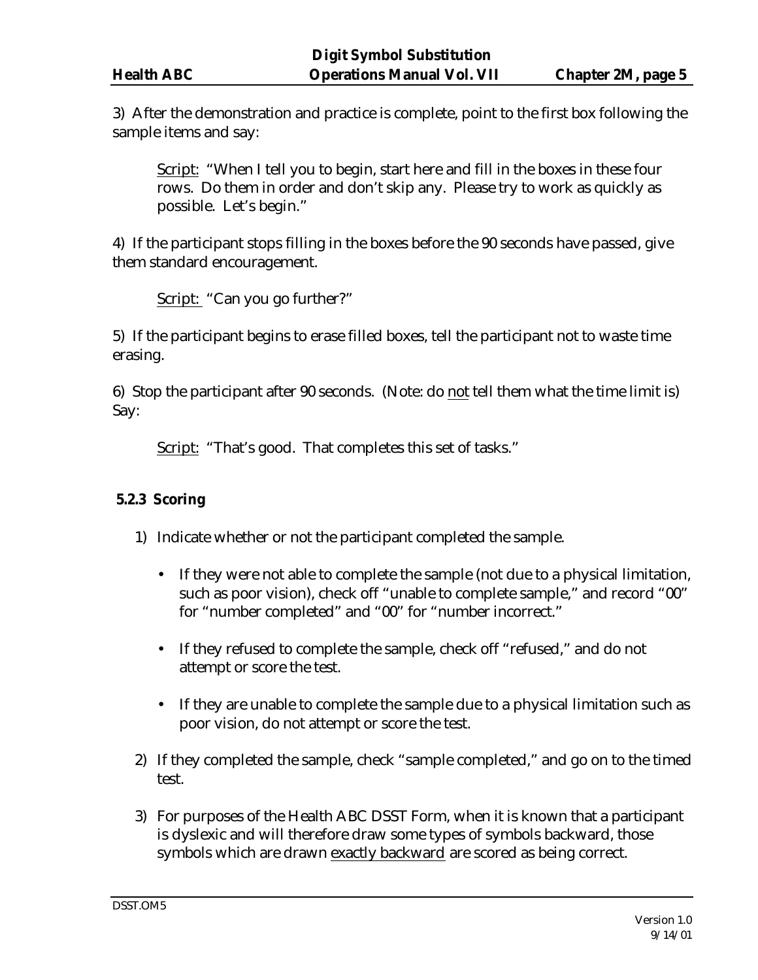3) After the demonstration and practice is complete, point to the first box following the sample items and say:

Script: "When I tell you to begin, start here and fill in the boxes in these four rows. Do them in order and don't skip any. Please try to work as quickly as possible. Let's begin."

4) If the participant stops filling in the boxes before the 90 seconds have passed, give them standard encouragement.

Script: "Can you go further?"

5) If the participant begins to erase filled boxes, tell the participant not to waste time erasing.

6) Stop the participant after 90 seconds. (Note: do not tell them what the time limit is) Say:

Script: "That's good. That completes this set of tasks."

### **5.2.3 Scoring**

- 1) Indicate whether or not the participant completed the sample.
	- If they were not able to complete the sample (not due to a physical limitation, such as poor vision), check off "unable to complete sample," and record "00" for "number completed" and "00" for "number incorrect."
	- If they refused to complete the sample, check off "refused," and do not attempt or score the test.
	- If they are unable to complete the sample due to a physical limitation such as poor vision, do not attempt or score the test.
- 2) If they completed the sample, check "sample completed," and go on to the timed test.
- 3) For purposes of the Health ABC DSST Form, when it is known that a participant is dyslexic and will therefore draw some types of symbols backward, those symbols which are drawn exactly backward are scored as being correct.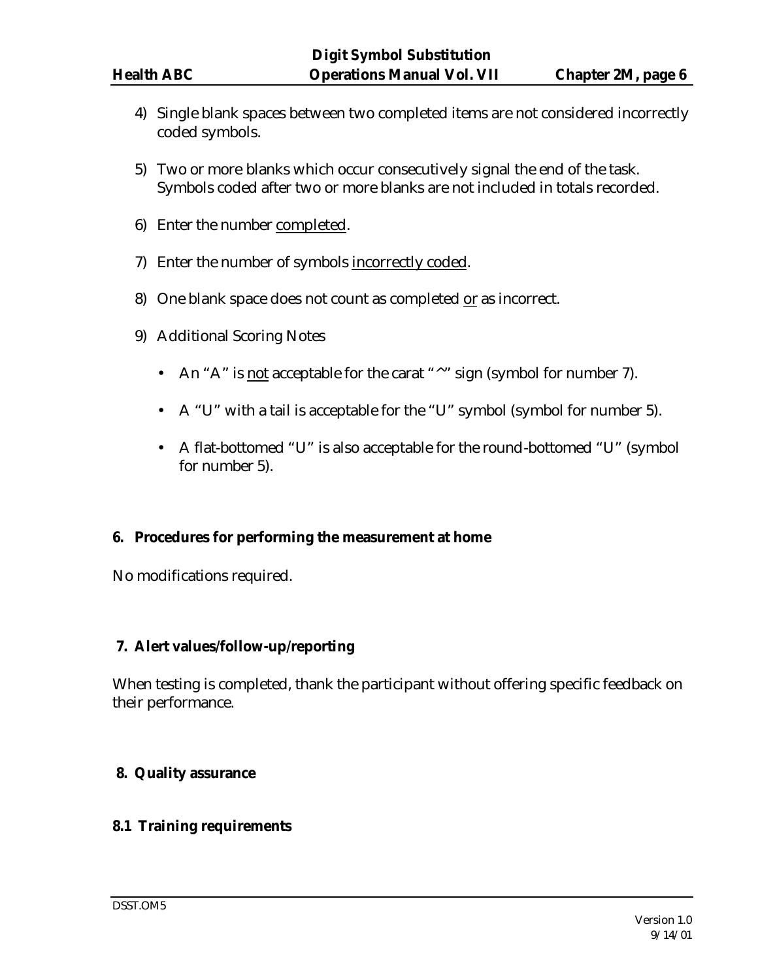- 4) Single blank spaces between two completed items are not considered incorrectly coded symbols.
- 5) Two or more blanks which occur consecutively signal the end of the task. Symbols coded after two or more blanks are not included in totals recorded.
- 6) Enter the number completed.
- 7) Enter the number of symbols incorrectly coded.
- 8) One blank space does not count as completed or as incorrect.
- 9) Additional Scoring Notes
	- An "A" is not acceptable for the carat "^" sign (symbol for number 7).
	- A "U" with a tail is acceptable for the "U" symbol (symbol for number 5).
	- A flat-bottomed "U" is also acceptable for the round-bottomed "U" (symbol for number 5).

### **6. Procedures for performing the measurement at home**

No modifications required.

### **7. Alert values/follow-up/reporting**

When testing is completed, thank the participant without offering specific feedback on their performance.

### **8. Quality assurance**

### **8.1 Training requirements**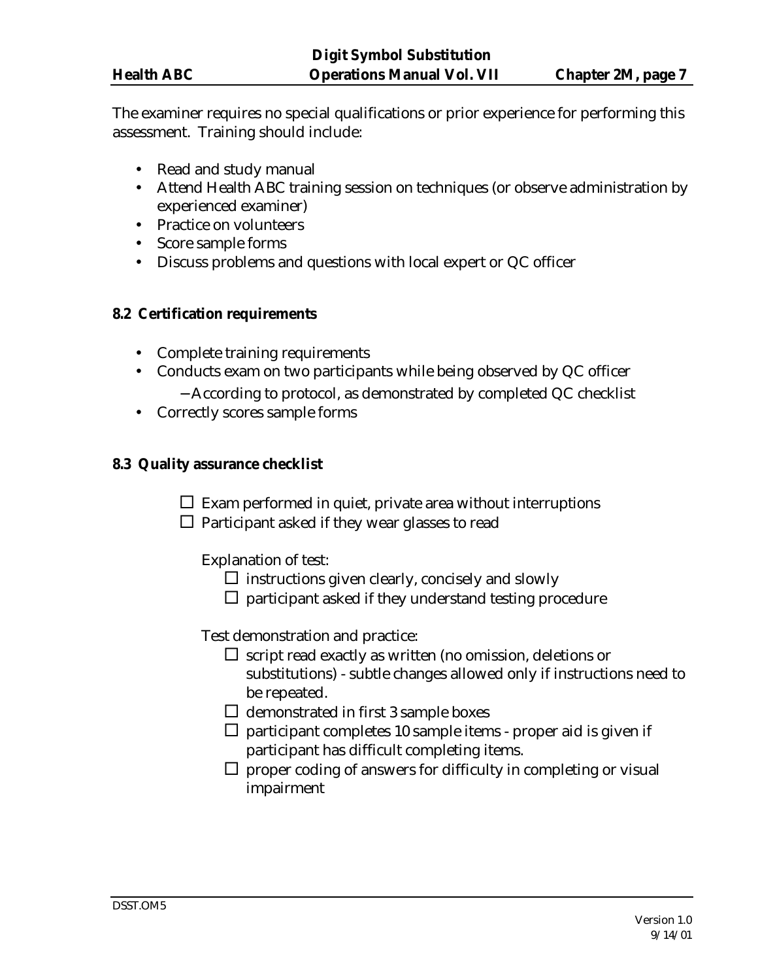The examiner requires no special qualifications or prior experience for performing this assessment. Training should include:

- Read and study manual
- Attend Health ABC training session on techniques (or observe administration by experienced examiner)
- Practice on volunteers
- Score sample forms
- Discuss problems and questions with local expert or QC officer

### **8.2 Certification requirements**

- Complete training requirements
- Conducts exam on two participants while being observed by QC officer
	- − According to protocol, as demonstrated by completed QC checklist
- Correctly scores sample forms

## **8.3 Quality assurance checklist**

 $\square$  Exam performed in quiet, private area without interruptions

 $\Box$  Participant asked if they wear glasses to read

Explanation of test:

- $\square$  instructions given clearly, concisely and slowly
- $\square$  participant asked if they understand testing procedure

Test demonstration and practice:

- $\square$  script read exactly as written (no omission, deletions or substitutions) - subtle changes allowed only if instructions need to be repeated.
- $\Box$  demonstrated in first 3 sample boxes
- $\square$  participant completes 10 sample items proper aid is given if participant has difficult completing items.
- $\square$  proper coding of answers for difficulty in completing or visual impairment